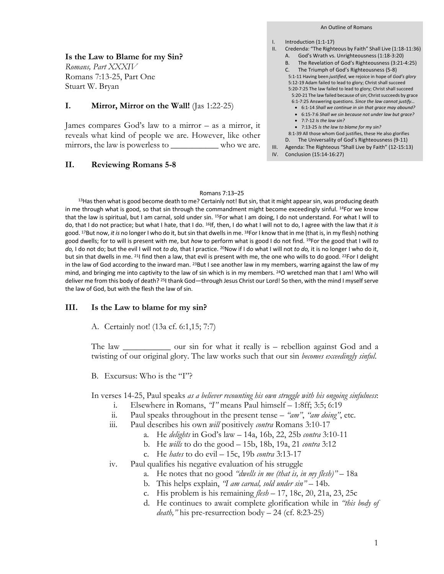**Is the Law to Blame for my Sin?**

*Romans, Part XXXIV* Romans 7:13-25, Part One Stuart W. Bryan

### **I. Mirror, Mirror on the Wall!** (Jas 1:22-25)

James compares God's law to a mirror – as a mirror, it reveals what kind of people we are. However, like other mirrors, the law is powerless to \_\_\_\_\_\_\_\_\_\_\_ who we are.

### **II. Reviewing Romans 5-8**

- Introduction (1:1-17) II. Credenda: "The Righteous by Faith" Shall Live (1:18-11:36) E. God's Wrath vs. Unrighteousness (1:18-3:20) A. God's Wrath vs. Unrighteousness (1:18-3:20)<br>B. The Revelation of God's Righteousness (3:21-4:25) G. The Triumph of God's Righteousness (5-8) C.
	- 5:1-11 Having been *justified*, we rejoice in hope of *God's glory* 5:12-19 Adam failed to lead to glory; Christ shall succeed
	- 5:20-7:25 The law failed to lead to glory; Christ shall succeed 5:20-21 The law failed because of sin; Christ succeeds by grace
	- 6:1-7:25 Answering questions. *Since the law cannot justify…* • 6:1-14 *Shall we continue in sin that grace may abound?*
	- 6:15-7:6 *Shall we sin because not under law but grace?*
	- 7:7-12 *Is the law sin?*
	- 7:13-25 *Is the law to blame for my sin?*
- 8:1-39 All those whom God justifies, these He also glorifies D. The Universality of God's Righteousness (9-11) S:20-21 The law failed because of sin; Christ succeeds by gra<br>6:1-7:25 Answering questions. Since the law cannot justify.<br>• 6:1-14 Shall we continue in sin that grace may abound<br>• 6:15-7:6 Shall we sin because not under l
- 
- IV. Conclusion (15:14-16:27)

I.

# Romans 7:13–25

13Has then what is good become death to me? Certainly not! But sin, that it might appear sin, was producing death in me through what is good, so that sin through the commandment might become exceedingly sinful. <sup>14</sup>For we know that the law is spiritual, but I am carnal, sold under sin. 15For what I am doing, I do not understand. For what I will to do, that I do not practice; but what I hate, that I do. 16If, then, I do what I will not to do, I agree with the law that *it is* good. 17But now, *it is* no longer I who do it, but sin that dwells in me. 18For I know that in me (that is, in my flesh) nothing good dwells; for to will is present with me, but *how* to perform what is good I do not find. 19For the good that I will *to do,* I do not do; but the evil I will not *to do,* that I practice. 20Now if I do what I will not *to do,* it is no longer I who do it, but sin that dwells in me. <sup>21</sup>I find then a law, that evil is present with me, the one who wills to do good. <sup>22</sup>For I delight in the law of God according to the inward man. <sup>23</sup>But I see another law in my members, warring against the law of my mind, and bringing me into captivity to the law of sin which is in my members. <sup>24</sup>O wretched man that I am! Who will deliver me from this body of death? <sup>25</sup>I thank God—through Jesus Christ our Lord! So then, with the mind I myself serve the law of God, but with the flesh the law of sin.

### **III. Is the Law to blame for my sin?**

A. Certainly not! (13a cf. 6:1,15; 7:7)

The law \_\_\_\_\_\_\_\_\_\_\_ our sin for what it really is – rebellion against God and a twisting of our original glory. The law works such that our sin *becomes exceedingly sinful*.

B. Excursus: Who is the "I"?

In verses 14-25, Paul speaks *as a believer recounting his own struggle with his ongoing sinfulness*:

- i. Elsewhere in Romans, *"I"* means Paul himself 1:8ff; 3:5; 6:19
- ii. Paul speaks throughout in the present tense *"am"*, *"am doing"*, etc.
- iii. Paul describes his own *will* positively *contra* Romans 3:10-17
	- a. He *delights* in God's law 14a, 16b, 22, 25b *contra* 3:10-11
	- b. He *wills* to do the good 15b, 18b, 19a, 21 *contra* 3:12
	- c. He *hates* to do evil 15c, 19b *contra* 3:13-17
- iv. Paul qualifies his negative evaluation of his struggle
	- a. He notes that no good *"dwells in me (that is, in my flesh)"* 18a
	- b. This helps explain, *"I am carnal, sold under sin"* 14b.
	- c. His problem is his remaining *flesh* 17, 18c, 20, 21a, 23, 25c
	- d. He continues to await complete glorification while in *"this body of death,"* his pre-resurrection body – 24 (cf. 8:23-25)